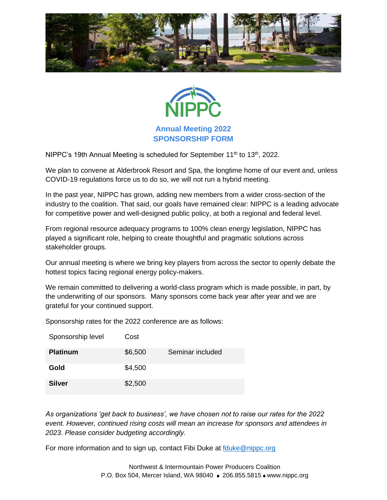



**Annual Meeting 2022 SPONSORSHIP FORM**

NIPPC's 19th Annual Meeting is scheduled for September 11<sup>th</sup> to 13<sup>th</sup>, 2022.

We plan to convene at Alderbrook Resort and Spa, the longtime home of our event and, unless COVID-19 regulations force us to do so, we will not run a hybrid meeting.

In the past year, NIPPC has grown, adding new members from a wider cross-section of the industry to the coalition. That said, our goals have remained clear: NIPPC is a leading advocate for competitive power and well-designed public policy, at both a regional and federal level.

From regional resource adequacy programs to 100% clean energy legislation, NIPPC has played a significant role, helping to create thoughtful and pragmatic solutions across stakeholder groups.

Our annual meeting is where we bring key players from across the sector to openly debate the hottest topics facing regional energy policy-makers.

We remain committed to delivering a world-class program which is made possible, in part, by the underwriting of our sponsors. Many sponsors come back year after year and we are grateful for your continued support.

Sponsorship rates for the 2022 conference are as follows:

| Sponsorship level | Cost    |                  |
|-------------------|---------|------------------|
| <b>Platinum</b>   | \$6,500 | Seminar included |
| Gold              | \$4,500 |                  |
| <b>Silver</b>     | \$2,500 |                  |

*As organizations 'get back to business', we have chosen not to raise our rates for the 2022 event. However, continued rising costs will mean an increase for sponsors and attendees in 2023. Please consider budgeting accordingly.*

For more information and to sign up, contact Fibi Duke at [fduke@nippc.org](mailto:fduke@nippc.org)